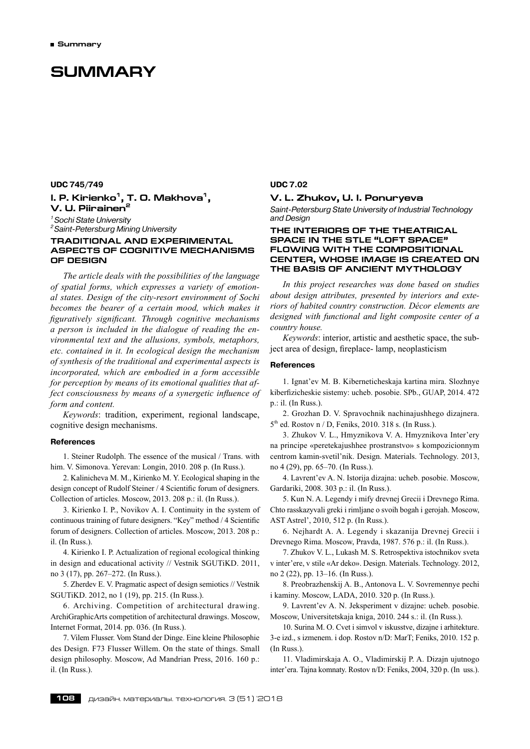# **SUMMARY**

**UDC 745/749 I. P.** Kirienko<sup>1</sup>, T. O. Makhova<sup>1</sup>, **V. U. Piirainen2** *1 Sochi State University*

*2 Saint-Petersburg Mining University*

### **TRADITIONAL AND EXPERIMENTAL ASPECTS OF COGNITIVE MECHANISMS OF DESIGN**

*The article deals with the possibilities of the language of spatial forms, which expresses a variety of emotional states. Design of the city-resort environment of Sochi becomes the bearer of a certain mood, which makes it figuratively significant. Through cognitive mechanisms a person is included in the dialogue of reading the environmental text and the allusions, symbols, metaphors, etc. contained in it. In ecological design the mechanism of synthesis of the traditional and experimental aspects is incorporated, which are embodied in a form accessible for perception by means of its emotional qualities that affect consciousness by means of a synergetic influence of form and content.*

*Keywords*: tradition, experiment, regional landscape, cognitive design mechanisms.

#### **References**

1. Steiner Rudolph. The essence of the musical / Trans. with him. V. Simonova. Yerevan: Longin, 2010. 208 p. (In Russ.).

2. Kalinicheva M. M., Kirienko M. Y. Ecological shaping in the design concept of Rudolf Steiner / 4 Scientific forum of designers. Collection of articles. Moscow, 2013. 208 p.: il. (In Russ.).

3. Kirienko I. P., Novikov A. I. Continuity in the system of continuous training of future designers. "Key" method / 4 Scientific forum of designers. Collection of articles. Moscow, 2013. 208 p.: il. (In Russ.).

4. Kirienko I. P. Actualization of regional ecological thinking in design and educational activity // Vestnik SGUTiKD. 2011, no 3 (17), pp. 267–272. (In Russ.).

5. Zherdev E. V. Pragmatic aspect of design semiotics // Vestnik SGUTiKD. 2012, no 1 (19), pp. 215. (In Russ.).

6. Archiving. Competition of architectural drawing. ArchiGraphicArts competition of architectural drawings. Moscow, Internet Format, 2014. pp. 036. (In Russ.).

7. Vilem Flusser. Vom Stand der Dinge. Eine kleine Philosophie des Design. F73 Flusser Willem. On the state of things. Small design philosophy. Moscow, Ad Mandrian Press, 2016. 160 p.: il. (In Russ.).

#### **UDC 7.02**

### **V. L. Zhukov, U. I. Ponuryeva**

*Saint-Petersburg State University of Industrial Technology and Design*

### **THE INTERIORS OF THE THEATRICAL SPACE IN THE STLE "LOFT SPACE" FLOWING WITH THE COMPOSITIONAL CENTER, WHOSE IMAGE IS CREATED ON THE BASIS OF ANCIENT MYTHOLOGY**

*In this project researches was done based on studies about design attributes, presented by interiors and exteriors of habited country construction. Décor elements are designed with functional and light composite center of a country house.*

*Keywords*: interior, artistic and aesthetic space, the subject area of design, fireplace- lamp, neoplasticism

#### **References**

1. Ignat'ev M. B. Kiberneticheskaja kartina mira. Slozhnye kiberfizicheskie sistemy: ucheb. posobie. SPb., GUAP, 2014. 472 p.: il. (In Russ.).

2. Grozhan D. V. Spravochnik nachinajushhego dizajnera.  $5<sup>th</sup>$  ed. Rostov n / D, Feniks, 2010, 318 s. (In Russ.).

3. Zhukov V. L., Hmyznikova V. A. Hmyznikova Inter'ery na principe «peretekajushhee prostranstvo» s kompozicionnym centrom kamin-svetil'nik. Design. Materials. Technology. 2013, no 4 (29), pp. 65–70. (In Russ.).

4. Lavrent'ev A. N. Istorija dizajna: ucheb. posobie. Moscow, Gardariki, 2008. 303 p.: il. (In Russ.).

5. Kun N. A. Legendy i mify drevnej Grecii i Drevnego Rima. Chto rasskazyvali greki i rimljane o svoih bogah i gerojah. Moscow, AST Astrel', 2010, 512 p. (In Russ.).

6. Nejhardt A. A. Legendy i skazanija Drevnej Grecii i Drevnego Rima. Moscow, Pravda, 1987. 576 p.: il. (In Russ.).

7. Zhukov V. L., Lukash M. S. Retrospektiva istochnikov sveta v inter'ere, v stile «Ar deko». Design. Materials. Technology. 2012, no 2 (22), pp. 13–16. (In Russ.).

8. Preobrazhenskij A. B., Antonova L. V. Sovremennye pechi i kaminy. Moscow, LADA, 2010. 320 p. (In Russ.).

9. Lavrent'ev A. N. Jeksperiment v dizajne: ucheb. posobie. Moscow, Universitetskaja kniga, 2010. 244 s.: il. (In Russ.).

10. Surina M. O. Cvet i simvol v iskusstve, dizajne i arhitekture. 3‑e izd., s izmenem. i dop. Rostov n/D: MarT; Feniks, 2010. 152 p. (In Russ.).

11. Vladimirskaja A. O., Vladimirskij P. A. Dizajn ujutnogo inter'era. Tajna komnaty. Rostov n/D: Feniks, 2004, 320 p. (In uss.).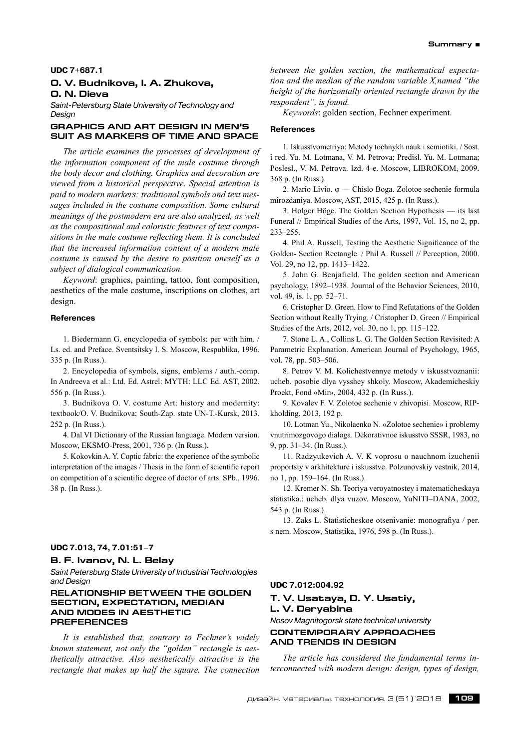#### **UDC 7+687.1**

### **O. V. Budnikova, I. A. Zhukova, O. N. Dieva**

*Saint-Petersburg State University of Technology and Design*

#### **GRAPHICS AND ART DESIGN IN MEN'S SUIT AS MARKERS OF TIME AND SPACE**

*The article examines the processes of development of the information component of the male costume through the body decor and clothing. Graphics and decoration are viewed from a historical perspective. Special attention is paid to modern markers: traditional symbols and text messages included in the costume composition. Some cultural meanings of the postmodern era are also analyzed, as well as the compositional and coloristic features of text compositions in the male costume reflecting them. It is concluded that the increased information content of a modern male costume is caused by the desire to position oneself as a subject of dialogical communication.*

*Keyword*: graphics, painting, tattoo, font composition, aesthetics of the male costume, inscriptions on clothes, art design.

#### **References**

1. Biedermann G. encyclopedia of symbols: per with him. / Ls. ed. and Preface. Sventsitsky I. S. Moscow, Respublika, 1996. 335 p. (In Russ.).

2. Encyclopedia of symbols, signs, emblems / auth.‑comp. In Andreeva et al.: Ltd. Ed. Astrel: MYTH: LLC Ed. AST, 2002. 556 p. (In Russ.).

3. Budnikova O. V. costume Art: history and modernity: textbook/O. V. Budnikova; South-Zap. state UN-T.-Kursk, 2013. 252 p. (In Russ.).

4. Dal VI Dictionary of the Russian language. Modern version. Moscow, EKSMO-Press, 2001, 736 p. (In Russ.).

5. Kokovkin A. Y. Coptic fabric: the experience of the symbolic interpretation of the images / Thesis in the form of scientific report on competition of a scientific degree of doctor of arts. SPb., 1996. 38 p. (In Russ.).

#### **UDC 7.013, 74, 7.01:51–7**

#### **B. F. Ivanov, N. L. Belay**

*Saint Petersburg State University of Industrial Technologies and Design*

### **RELATIONSHIP BETWEEN THE GOLDEN SECTION, EXPECTATION, MEDIAN AND MODES IN AESTHETIC PREFERENCES**

*It is established that, contrary to Fechner's widely known statement, not only the "golden" rectangle is aesthetically attractive. Also aesthetically attractive is the rectangle that makes up half the square. The connection*

*between the golden section, the mathematical expectation and the median of the random variable X,named "the height of the horizontally oriented rectangle drawn by the respondent", is found.*

*Keywords*: golden section, Fechner experiment.

#### **References**

1. Iskusstvometriya: Metody tochnykh nauk i semiotiki. / Sost. i red. Yu. M. Lotmana, V. M. Petrova; Predisl. Yu. M. Lotmana; Poslesl., V. M. Petrova. Izd. 4‑e. Moscow, LIBROKOM, 2009. 368 p. (In Russ.).

2. Mario Livio. φ — Chislo Boga. Zolotoe sechenie formula mirozdaniya. Moscow, AST, 2015, 425 p. (In Russ.).

3. Holger Hӧge. The Golden Section Hypothesis — its last Funeral // Empirical Studies of the Arts, 1997, Vol. 15, no 2, pp. 233–255.

4. Phil A. Russell, Testing the Aesthetic Significance of the Golden- Section Rectangle. / Phil A. Russell // Perception, 2000. Vol. 29, no 12, pp. 1413–1422.

5. John G. Benjafield. The golden section and American psychology, 1892–1938. Journal of the Behavior Sciences, 2010, vol. 49, is. 1, pp. 52–71.

6. Cristopher D. Green. How to Find Refutations of the Golden Section without Really Trying. / Cristopher D. Green // Empirical Studies of the Arts, 2012, vol. 30, no 1, pp. 115–122.

7. Stone L. A., Collins L. G. The Golden Section Revisited: A Parametric Explanation. American Journal of Psychology, 1965, vol. 78, pp. 503–506.

8. Petrov V. M. Kolichestvennye metody v iskusstvoznanii: ucheb. posobie dlya vysshey shkoly. Moscow, Akademicheskiy Proekt, Fond «Mir», 2004, 432 p. (In Russ.).

9. Kovalev F. V. Zolotoe sechenie v zhivopisi. Moscow, RIPkholding, 2013, 192 p.

10. Lotman Yu., Nikolaenko N. «Zolotoe sechenie» i problemy vnutrimozgovogo dialoga. Dekorativnoe iskusstvo SSSR, 1983, no 9, pp. 31–34. (In Russ.).

11. Radzyukevich A. V. K voprosu o nauchnom izuchenii proportsiy v arkhitekture i iskusstve. Polzunovskiy vestnik, 2014, no 1, pp. 159–164. (In Russ.).

12. Kremer N. Sh. Teoriya veroyatnostey i matematicheskaya statistika.: ucheb. dlya vuzov. Moscow, YuNITI–DANA, 2002, 543 p. (In Russ.).

13. Zaks L. Statisticheskoe otsenivanie: monografiya / per. s nem. Moscow, Statistika, 1976, 598 p. (In Russ.).

#### **UDC 7.012:004.92**

# **T. V. Usataya, D. Y. Usatiy, L. V. Deryabina**

### *Nosov Magnitogorsk state technical university* **CONTEMPORARY APPROACHES AND TRENDS IN DESIGN**

*The article has considered the fundamental terms interconnected with modern design: design, types of design,*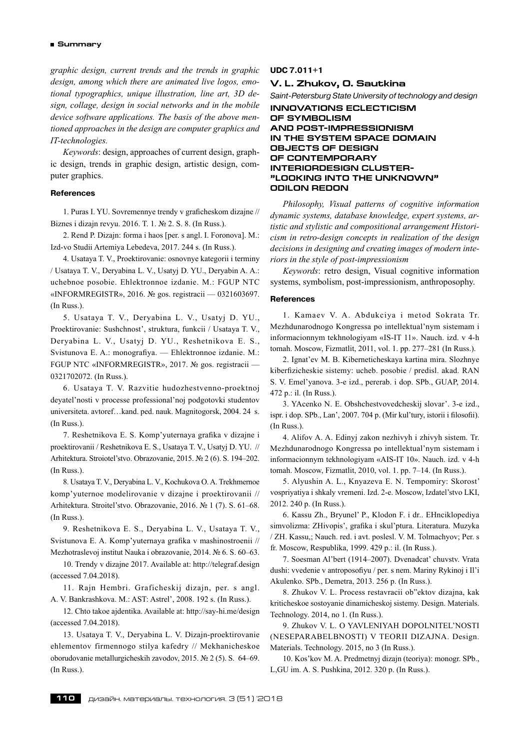*graphic design, current trends and the trends in graphic design, among which there are animated live logos, emotional typographics, unique illustration, line art, 3D design, collage, design in social networks and in the mobile device software applications. The basis of the above mentioned approaches in the design are computer graphics and IT-technologies.*

*Keywords*: design, approaches of current design, graphic design, trends in graphic design, artistic design, computer graphics.

#### **References**

1. Puras I. YU. Sovremennye trendy v graficheskom dizajne // Biznes i dizajn revyu. 2016. T. 1. № 2. S. 8. (In Russ.).

2. Rend P. Dizajn: forma i haos [per. s angl. I. Foronova]. M.: Izd-vo Studii Artemiya Lebedeva, 2017. 244 s. (In Russ.).

4. Usataya T. V., Proektirovanie: osnovnye kategorii i terminy / Usataya T. V., Deryabina L. V., Usatyj D. YU., Deryabin A. A.: uchebnoe posobie. Ehlektronnoe izdanie. M.: FGUP NTC «INFORMREGISTR», 2016. № gos. registracii — 0321603697. (In Russ.).

5. Usataya T. V., Deryabina L. V., Usatyj D. YU., Proektirovanie: Sushchnost', struktura, funkcii / Usataya T. V., Deryabina L. V., Usatyj D. YU., Reshetnikova E. S., Svistunova E. A.: monografiya. — Ehlektronnoe izdanie. M.: FGUP NTC «INFORMREGISTR», 2017. № gos. registracii — 0321702072. (In Russ.).

6. Usataya T. V. Razvitie hudozhestvenno-proektnoj deyatel'nosti v processe professional'noj podgotovki studentov universiteta. avtoref…kand. ped. nauk. Magnitogorsk, 2004. 24 s. (In Russ.).

7. Reshetnikova E. S. Komp'yuternaya grafika v dizajne i proektirovanii / Reshetnikova E. S., Usataya T. V., Usatyj D. YU.// Arhitektura. Stroiotel'stvo. Obrazovanie, 2015. № 2 (6). S. 194–202. (In Russ.).

8. Usataya T. V., Deryabina L. V., Kochukova O. A. Trekhmernoe komp'yuternoe modelirovanie v dizajne i proektirovanii // Arhitektura. Stroitel'stvo. Obrazovanie, 2016. № 1 (7). S. 61–68. (In Russ.).

9. Reshetnikova E. S., Deryabina L. V., Usataya T. V., Svistunova E. A. Komp'yuternaya grafika v mashinostroenii // Mezhotraslevoj institut Nauka i obrazovanie, 2014. № 6. S. 60–63.

10. Trendy v dizajne 2017. Available at: http://telegraf.design (accessed 7.04.2018).

11. Rajn Hembri. Graficheskij dizajn, per. s angl. A. V. Bankrashkova. M.: AST: Astrel', 2008. 192 s. (In Russ.).

12. Chto takoe ajdentika. Available at: http://say-hi.me/design (accessed 7.04.2018).

13. Usataya T. V., Deryabina L. V. Dizajn-proektirovanie ehlementov firmennogo stilya kafedry // Mekhanicheskoe oborudovanie metallurgicheskih zavodov, 2015. № 2 (5). S.64–69. (In Russ.).

### **UDC 7.011+1**

### **V. L. Zhukov, O. Sautkina**

*Saint-Petersburg State University of technology and design*

**INNOVATIONS ECLECTICISM OF SYMBOLISM AND POST-IMPRESSIONISM IN THE SYSTEM SPACE DOMAIN OBJECTS OF DESIGN OF CONTEMPORARY INTERIORDESIGN CLUSTER- "LOOKING INTO THE UNKNOWN" ODILON REDON**

*Philosophy, Visual patterns of cognitive information dynamic systems, database knowledge, expert systems, artistic and stylistic and compositional arrangement Historicism in retro-design concepts in realization of the design decisions in designing and creating images of modern interiors in the style of post-impressionism*

*Keywords*: retro design, Visual cognitive information systems, symbolism, post-impressionism, anthroposophy.

#### **References**

1. Kamaev V. A. Abdukciya i metod Sokrata Tr. Mezhdunarodnogo Kongressa po intellektual'nym sistemam i informacionnym tekhnologiyam «IS-IT 11». Nauch. izd. v 4‑h tomah. Moscow, Fizmatlit, 2011, vol. 1. pp. 277–281 (In Russ.).

2. Ignat'ev M. B. Kiberneticheskaya kartina mira. Slozhnye kiberfizicheskie sistemy: ucheb. posobie / predisl. akad. RAN S. V. Emel'yanova. 3‑e izd., pererab. i dop. SPb., GUAP, 2014. 472 p.: il. (In Russ.).

3. YAcenko N. E. Obshchestvovedcheskij slovar'. 3‑e izd., ispr. i dop. SPb., Lan', 2007. 704 p. (Mir kul'tury, istorii i filosofii). (In Russ.).

4. Alifov A. A. Edinyj zakon nezhivyh i zhivyh sistem. Tr. Mezhdunarodnogo Kongressa po intellektual'nym sistemam i informacionnym tekhnologiyam «AIS-IT 10». Nauch. izd. v 4‑h tomah. Moscow, Fizmatlit, 2010, vol. 1. pp. 7–14. (In Russ.).

5. Alyushin A. L., Knyazeva E. N. Tempomiry: Skorost' vospriyatiya i shkaly vremeni. Izd. 2‑e. Moscow, Izdatel'stvo LKI, 2012. 240 p. (In Russ.).

6. Kassu Zh., Bryunel' P., Klodon F. i dr.. EHnciklopediya simvolizma: ZHivopis', grafika i skul'ptura. Literatura. Muzyka / ZH. Kassu,; Nauch. red. i avt. poslesl. V. M. Tolmachyov; Per. s fr. Moscow, Respublika, 1999. 429 p.: il. (In Russ.).

7. Soesman Al'bert (1914–2007). Dvenadcat' chuvstv. Vrata dushi: vvedenie v antroposofiyu / per. s nem. Mariny Rykinoj i Il'i Akulenko. SPb., Demetra, 2013. 256 p. (In Russ.).

8. Zhukov V. L. Process restavracii ob"ektov dizajna, kak kriticheskoe sostoyanie dinamicheskoj sistemy. Design. Materials. Technology. 2014, no 1. (In Russ.).

9. Zhukov V. L. O yavleniyah dopolnitel'nosti (neseparabelbnosti) v teorii dizajna. Design. Materials. Technology. 2015, no 3 (In Russ.).

10. Kos'kov M. A. Predmetnyj dizajn (teoriya): monogr. SPb., L,GU im. A. S. Pushkina, 2012. 320 p. (In Russ.).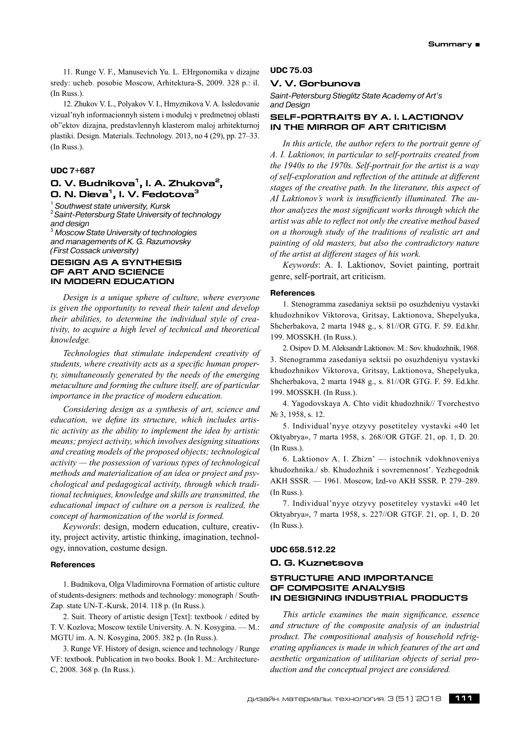11. Runge V. F., Manusevich Yu. L. EHrgonomika v dizajne sredy: ucheb. posobie Moscow, Arhitektura-S, 2009. 328 p.: il. (In Russ.).

12. Zhukov V. L., Polyakov V. I., Hmyznikova V. A. Issledovanie vizual'nyh informacionnyh sistem i modulej v predmetnoj oblasti ob"ektov dizajna, predstavlennyh klasterom maloj arhitekturnoj plastiki. Design. Materials. Technology. 2013, no 4 (29), pp. 27–33. (In Russ.).

### **UDC 7+687**

# **O. V. Budnikova1, I. A. Zhukova2, O. N. Dieva1, I. V. Fedotova3**

<sup>1</sup> Southwest state university, Kursk <sup>2</sup> Saint-Petersburg State University of technology *and design*

3  *Moscow State University of technologies and managements of K. G. Razumovsky (First Cossack university)*

#### **DESIGN AS A SYNTHESIS OF ART AND SCIENCE IN MODERN EDUCATION**

*Design is a unique sphere of culture, where everyone is given the opportunity to reveal their talent and develop their abilities, to determine the individual style of creativity, to acquire a high level of technical and theoretical knowledge.*

*Technologies that stimulate independent creativity of students, where creativity acts as a specific human property, simultaneously generated by the needs of the emerging metaculture and forming the culture itself, are of particular importance in the practice of modern education.*

*Considering design as a synthesis of art, science and education, we define its structure, which includes artistic activity as the ability to implement the idea by artistic means; project activity, which involves designing situations and creating models of the proposed objects; technological activity — the possession of various types of technological methods and materialization of an idea or project and psychological and pedagogical activity, through which traditional techniques, knowledge and skills are transmitted, the educational impact of culture on a person is realized, the concept of harmonization of the world is formed.*

*Keywords*: design, modern education, culture, creativity, project activity, artistic thinking, imagination, technology, innovation, costume design.

#### **References**

1. Budnikova, Olga Vladimirovna Formation of artistic culture of students-designers: methods and technology: monograph / South-Zap. state UN-T.-Kursk, 2014. 118 p. (In Russ.).

2. Suit. Theory of artistic design [Text]: textbook / edited by T. V. Kozlova; Moscow textile University. A. N. Kosygina. — M.: MGTU im. A. N. Kosygina, 2005. 382 p. (In Russ.).

3. Runge VF. History of design, science and technology / Runge VF: textbook. Publication in two books. Book 1. M.: Architecture-C, 2008. 368 p. (In Russ.).

#### **UDC 75.03**

#### **V. V. Gorbunova**

*Saint-Petersburg Stieglitz State Academy of Art's and Design*

### **SELF-PORTRAITS BY A. I. LACTIONOV IN THE MIRROR OF ART CRITICISM**

*In this article, the author refers to the portrait genre of A. I. Laktionov, in particular to self-portraits created from the 1940s to the 1970s. Self-portrait for the artist is a way of self-exploration and reflection of the attitude at different stages of the creative path. In the literature, this aspect of AI Laktionov's work is insufficiently illuminated. The author analyzes the most significant works through which the artist was able to reflect not only the creative method based on a thorough study of the traditions of realistic art and painting of old masters, but also the contradictory nature of the artist at different stages of his work.*

*Keywords*: A. I. Laktionov, Soviet painting, portrait genre, self-portrait, art criticism.

#### **References**

1. Stenogramma zasedaniya sektsii po osuzhdeniyu vystavki khudozhnikov Viktorova, Gritsay, Laktionova, Shepelyuka, Shcherbakova, 2 marta 1948 g., s. 81//OR GTG. F. 59. Еd.khr. 199. MOSSKH. (In Russ.).

2. Osipov D. M. Aleksandr Laktionov. M.: Sov. khudozhnik, 1968. 3. Stenogramma zasedaniya sektsii po osuzhdeniyu vystavki khudozhnikov Viktorova, Gritsay, Laktionova, Shepelyuka, Shcherbakova, 2 marta 1948 g., s. 81//OR GTG. F. 59. Еd.khr. 199. MOSSKH. (In Russ.).

4. Yagodovskaya A. Chto vidit khudozhnik// Tvorchestvo № 3, 1958, s. 12.

5. Individual'nyye otzyvy posetiteley vystavki «40 let Oktyabrya», 7 marta 1958, s. 268//OR GTGF. 21, op. 1, D. 20. (In Russ.).

6. Laktionov A. I. Zhizn' — istochnik vdokhnoveniya khudozhnika./ sb. Khudozhnik i sovremennost'. Yezhegodnik AKH SSSR. — 1961. Moscow, Izd-vo AKH SSSR. P. 279–289. (In Russ.).

7. Individual'nyye otzyvy posetiteley vystavki «40 let Oktyabrya», 7 marta 1958, s. 227//OR GTGF. 21, op. 1, D. 20 (In Russ.).

#### **UDC 658.512.22**

#### **O. G. Kuznetsova**

### **STRUCTURE AND IMPORTANCE OF COMPOSITE ANALYSIS IN DESIGNING INDUSTRIAL PRODUCTS**

*This article examines the main significance, essence and structure of the composite analysis of an industrial product. The compositional analysis of household refrigerating appliances is made in which features of the art and aesthetic organization of utilitarian objects of serial production and the conceptual project are considered.*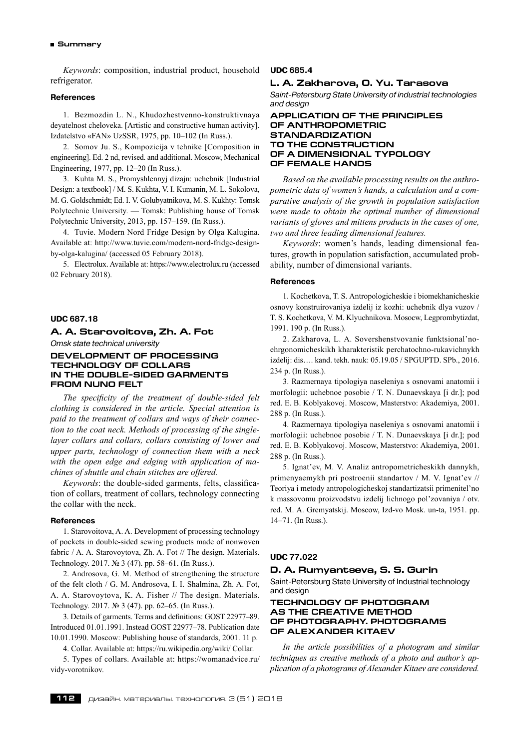#### **Summary**

*Keywords*: composition, industrial product, household refrigerator.

#### **References**

1. Bezmozdin L. N., Khudozhestvenno-konstruktivnaya deyatelnost cheloveka. [Artistic and constructive human activity]. Izdatelstvo «FAN» UzSSR, 1975, pp. 10–102 (In Russ.).

2. Somov Ju. S., Kompozicija v tehnike [Composition in engineering]. Ed. 2 nd, revised. and additional. Moscow, Mechanical Engineering, 1977, pp. 12–20 (In Russ.).

3. Kuhta M. S., Promyshlennyj dizajn: uchebnik [Industrial Design: a textbook] / M. S. Kukhta, V. I. Kumanin, M. L. Sokolova, M. G. Goldschmidt; Ed. I. V. Golubyatnikova, M. S. Kukhty: Tomsk Polytechnic University. — Tomsk: Publishing house of Tomsk Polytechnic University, 2013, pp. 157–159. (In Russ.).

4. Tuvie. Modern Nord Fridge Design by Olga Kalugina. Available at: http://www.tuvie.com/modern-nord-fridge-designby-olga-kalugina/ (accessed 05 February 2018).

5. Electrolux. Available at: https://www.electrolux.ru (accessed 02 February 2018).

# **UDC 687.18**

**A. A. Starovoitova, Zh. A. Fot** *Omsk state technical university*

**DEVELOPMENT OF PROCESSING** 

# **TECHNOLOGY OF COLLARS In the double-sided garments FROM Nuno felt**

*The specificity of the treatment of double-sided felt clothing is considered in the article. Special attention is paid to the treatment of collars and ways of their connection to the coat neck. Methods of processing of the singlelayer collars and collars, collars consisting of lower and upper parts, technology of connection them with a neck with the open edge and edging with application of machines of shuttle and chain stitches are offered.*

*Keywords*: the double-sided garments, felts, classification of collars, treatment of collars, technology connecting the collar with the neck.

#### **References**

1. Starovoitova, A. A. Development of processing technology of pockets in double-sided sewing products made of nonwoven fabric / A. A. Starovoytova, Zh. A. Fot // The design. Materials. Technology. 2017. № 3 (47). pp. 58–61. (In Russ.).

2. Androsova, G. M. Method of strengthening the structure of the felt cloth / G. M. Androsova, I. I. Shalmina, Zh. A. Fot, A. A. Starovoytova, K. A. Fisher // The design. Materials. Technology. 2017. № 3 (47). pp. 62–65. (In Russ.).

3. Details of garments. Terms and definitions: GOST 22977–89. Introduced 01.01.1991. Instead GOST 22977–78. Publication date 10.01.1990. Moscow: Publishing house of standards, 2001. 11 p.

4. Collar. Available at: https://ru.wikipedia.org/wiki/ Collar.

5. Types of collars. Available at: https://womanadvice.ru/ vidy-vorotnikov.

#### **UDC 685.4**

# **L. A. Zakharova, O. Yu. Tarasova**

*Saint-Petersburg State University of industrial technologies and design*

### **APPLICATION OF THE PRINCIPLES OF ANTHROPOMETRIC STANDARDIZATION TO THE CONSTRUCTION OF A DIMENSIONAL TYPOLOGY OF FEMALE HANDS**

*Based on the available processing results on the anthropometric data of women's hands, a calculation and a comparative analysis of the growth in population satisfaction were made to obtain the optimal number of dimensional variants of gloves and mittens products in the cases of one, two and three leading dimensional features.*

*Keywords*: women's hands, leading dimensional features, growth in population satisfaction, accumulated probability, number of dimensional variants.

#### **References**

1. Kochetkova, T. S. Аntropologicheskie i biomekhanicheskie osnovy konstruirovaniya izdelij iz kozhi: uchebnik dlya vuzov / T. S. Kochetkova, V. M. Klyuchnikova. Mosocw, Legprombytizdat, 1991. 190 p. (In Russ.).

2. Zakharova, L. А. Sovershenstvovanie funktsional'noehrgonomicheskikh kharakteristik perchatochno-rukavichnykh izdelij: dis…. kand. tekh. nauk: 05.19.05 / SPGUPTD. SPb., 2016. 234 p. (In Russ.).

3. Razmernaya tipologiya naseleniya s osnovami anatomii i morfologii: uchebnoe posobie / T. N. Dunaevskaya [i dr.]; pod red. E. B. Koblyakovoj. Moscow, Masterstvo: Аkademiya, 2001. 288 p. (In Russ.).

4. Razmernaya tipologiya naseleniya s osnovami anatomii i morfologii: uchebnoe posobie / T. N. Dunaevskaya [i dr.]; pod red. E. B. Koblyakovoj. Moscow, Masterstvo: Аkademiya, 2001. 288 p. (In Russ.).

5. Ignat'ev, M. V. Аnaliz antropometricheskikh dannykh, primenyaemykh pri postroenii standartov / M. V. Ignat'ev // Teoriya i metody antropologicheskoj standartizatsii primenitel'no k massovomu proizvodstvu izdelij lichnogo pol'zovaniya / otv. red. M. А. Gremyatskij. Moscow, Izd-vo Mosk. un-ta, 1951. pp. 14–71. (In Russ.).

#### **UDC 77.022**

### **D. A. Rumyantseva, S. S. Gurin**

Saint-Petersburg State University of Industrial technology and design

### **TECHNOLOGY OF PHOTOGRAM AS THE CREATIVE METHOD OF PHOTOGRAPHY. PHOTOGRAMS OF ALEXANDER KITAEV**

*In the article possibilities of a photogram and similar techniques as creative methods of a photo and author's application of a photograms of Alexander Kitaev are considered.*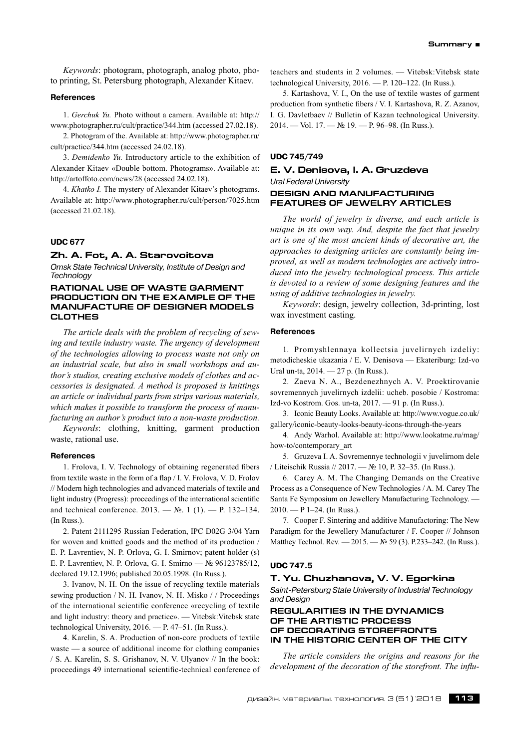*Keywords*: photogram, photograph, analog photo, photo printing, St. Petersburg photograph, Alexander Kitaev.

### **References**

1. *Gerchuk Yu.* Photo without a camera. Available at: http:// www.photographer.ru/cult/practice/344.htm (accessed 27.02.18).

2. Photogram of the. Available at: http://www.photographer.ru/ cult/practice/344.htm (accessed 24.02.18).

3. *Demidenko Yu.* Introductory article to the exhibition of Alexander Kitaev «Double bottom. Photograms». Available at: http://artoffoto.com/news/28 (accessed 24.02.18).

4. *Khatko I.* The mystery of Alexander Kitaev's photograms. Available at: http://www.photographer.ru/cult/person/7025.htm (accessed 21.02.18).

#### **UDC 677**

### **Zh. A. Fot, A. A. Starovoitova**

*Omsk State Technical University, Institute of Design and Technology*

### **RATIONAL USE OF WASTE GARMENT PRODUCTION ON THE EXAMPLE OF THE MANUFACTURE OF DESIGNER MODELS CLOTHES**

*The article deals with the problem of recycling of sewing and textile industry waste. The urgency of development of the technologies allowing to process waste not only on an industrial scale, but also in small workshops and author's studios, creating exclusive models of clothes and accessories is designated. A method is proposed is knittings an article or individual parts from strips various materials, which makes it possible to transform the process of manufacturing an author's product into a non-waste production.*

*Keywords*: clothing, knitting, garment production waste, rational use.

#### **References**

1. Frolova, I. V. Technology of obtaining regenerated fibers from textile waste in the form of a flap / I. V. Frolova, V. D. Frolov // Modern high technologies and advanced materials of textile and light industry (Progress): proceedings of the international scientific and technical conference. 2013. — №. 1 (1). — P. 132–134. (In Russ.).

2. Patent 2111295 Russian Federation, IPC D02G 3/04 Yarn for woven and knitted goods and the method of its production / E. P. Lavrentiev, N. P. Orlova, G. I. Smirnov; patent holder (s) E. P. Lavrentiev, N. P. Orlova, G. I. Smirno — № 96123785/12, declared 19.12.1996; published 20.05.1998. (In Russ.).

3. Ivanov, N. H. On the issue of recycling textile materials sewing production / N. H. Ivanov, N. H. Misko / / Proceedings of the international scientific conference «recycling of textile and light industry: theory and practice». — Vitebsk:Vitebsk state technological University, 2016. — P. 47–51. (In Russ.).

4. Karelin, S. A. Production of non-core products of textile waste — a source of additional income for clothing companies / S. A. Karelin, S. S. Grishanov, N. V. Ulyanov // In the book: proceedings 49 international scientific-technical conference of teachers and students in 2 volumes. — Vitebsk:Vitebsk state technological University, 2016. — P. 120–122. (In Russ.).

5. Kartashova, V. I., On the use of textile wastes of garment production from synthetic fibers / V. I. Kartashova, R. Z. Azanov, I. G. Davletbaev // Bulletin of Kazan technological University. 2014. — Vol. 17. — № 19. — P. 96–98. (In Russ.).

#### **UDC 745/749**

# **E. V. Denisova, I. A. Gruzdeva** *Ural Federal University*

#### **DESIGN AND MANUFACTURING FEATURES OF JEWELRY ARTICLES**

*The world of jewelry is diverse, and each article is unique in its own way. And, despite the fact that jewelry art is one of the most ancient kinds of decorative art, the approaches to designing articles are constantly being improved, as well as modern technologies are actively introduced into the jewelry technological process. This article is devoted to a review of some designing features and the using of additive technologies in jewelry.*

*Keywords*: design, jewelry collection, 3d-printing, lost wax investment casting.

#### **References**

1. Promyshlennaya kollectsia juvelirnych izdeliy: metodicheskie ukazania / E. V. Denisova — Ekateriburg: Izd-vo Ural un-ta, 2014. — 27 p. (In Russ.).

2. Zaeva N. A., Bezdenezhnych A. V. Proektirovanie sovremennych juvelirnych izdelii: ucheb. posobie / Kostroma: Izd-vo Kostrom. Gos. un-ta, 2017. — 91 p. (In Russ.).

3. Iconic Beauty Looks. Available at: http://www.vogue.co.uk/ gallery/iconic-beauty-looks-beauty-icons-through-the-years

4. Andy Warhol. Available at: http://www.lookatme.ru/mag/ how-to/contemporary\_art

5. Gruzeva I. A. Sovremennye technologii v juvelirnom dele / Liteischik Russia // 2017. — № 10, P. 32–35. (In Russ.).

6. Carey A. M. The Changing Demands on the Creative Process as a Consequence of New Technologies / A. M. Carey The Santa Fe Symposium on Jewellery Manufacturing Technology. —  $2010. - P 1 - 24.$  (In Russ.).

7. Cooper F. Sintering and additive Manufactoring: The New Paradigm for the Jewellery Manufacturer / F. Cooper // Johnson Matthey Technol. Rev. — 2015. — № 59 (3). P.233–242. (In Russ.).

### **UDC 747.5**

#### **T. Yu. Chuzhanova, V. V. Egorkina**

*Saint-Petersburg State University of Industrial Technology and Design*

### **Regularities in the dynamics of the artistic process of decorating storefronts in the historic center of the city**

*The article considers the origins and reasons for the development of the decoration of the storefront. The influ-*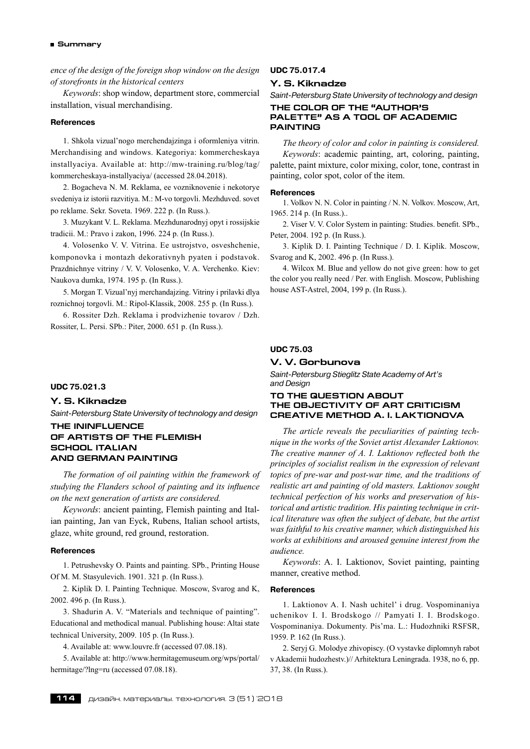#### **Summary**

*ence of the design of the foreign shop window on the design of storefronts in the historical centers*

*Keywords*: shop window, department store, commercial installation, visual merchandising.

### **References**

1. Shkola vizual'nogo merchendajzinga i oformleniya vitrin. Merchandising and windows. Kategoriya: kommercheskaya installyaciya. Available at: http://mw-training.ru/blog/tag/ kommercheskaya-installyaciya/ (accessed 28.04.2018).

2. Bogacheva N. M. Reklama, ee vozniknovenie i nekotorye svedeniya iz istorii razvitiya. M.: M-vo torgovli. Mezhduved. sovet po reklame. Sekr. Soveta. 1969. 222 p. (In Russ.).

3. Muzykant V. L. Reklama. Mezhdunarodnyj opyt i rossijskie tradicii. M.: Pravo i zakon, 1996. 224 p. (In Russ.).

4. Volosenko V. V. Vitrina. Ee ustrojstvo, osveshchenie, komponovka i montazh dekorativnyh pyaten i podstavok. Prazdnichnye vitriny / V. V. Volosenko, V. A. Verchenko. Kiev: Naukova dumka, 1974. 195 p. (In Russ.).

5. Morgan T. Vizual'nyj merchandajzing. Vitriny i prilavki dlya roznichnoj torgovli. M.: Ripol-Klassik, 2008. 255 p. (In Russ.).

6. Rossiter Dzh. Reklama i prodvizhenie tovarov / Dzh. Rossiter, L. Persi. SPb.: Piter, 2000. 651 p. (In Russ.).

#### **UDC 75.021.3**

### **Y. S. Kiknadze**

*Saint-Petersburg State University of technology and design*

### **THE ININFLUENCE OF ARTISTS OF THE FLEMISH SCHOOL ITALIAN AND GERMAN PAINTING**

*The formation of oil painting within the framework of studying the Flanders school of painting and its influence on the next generation of artists are considered.*

*Keywords*: ancient painting, Flemish painting and Italian painting, Jan van Eyck, Rubens, Italian school artists, glaze, white ground, red ground, restoration.

#### **References**

1. Petrushevsky O. Paints and painting. SPb., Printing House Of M. M. Stasyulevich. 1901. 321 p. (In Russ.).

2. Kiplik D. I. Painting Technique. Moscow, Svarog and K, 2002. 496 p. (In Russ.).

3. Shadurin A. V. "Materials and technique of painting". Educational and methodical manual. Publishing house: Altai state technical University, 2009. 105 p. (In Russ.).

4. Available at: www.louvre.fr (accessed 07.08.18).

5. Available at: http://www.hermitagemuseum.org/wps/portal/ hermitage/?lng=ru (accessed 07.08.18).

#### **UDC 75.017.4**

## **Y. S. Kiknadze**

*Saint-Petersburg State University of technology and design*

### **THE COLOR OF THE "AUTHOR'S PALETTE" AS A TOOL OF ACADEMIC PAINTING**

*The theory of color and color in painting is considered. Keywords*: academic painting, art, coloring, painting, palette, paint mixture, color mixing, color, tone, contrast in painting, color spot, color of the item.

#### **References**

1. Volkov N. N. Color in painting / N. N. Volkov. Moscow, Art, 1965. 214 p. (In Russ.)..

2. Viser V. V. Color System in painting: Studies. benefit. SPb., Peter, 2004. 192 p. (In Russ.).

3. Kiplik D. I. Painting Technique / D. I. Kiplik. Moscow, Svarog and K, 2002. 496 p. (In Russ.).

4. Wilcox M. Blue and yellow do not give green: how to get the color you really need / Per. with English. Moscow, Publishing house AST-Astrel, 2004, 199 p. (In Russ.).

### **UDC 75.03**

# **V. V. Gorbunova**

*Saint-Petersburg Stieglitz State Academy of Art's and Design*

### **To the QUESTION ABOUT the objectivity of ART CRITICISM CREATIVE METHOD A. I. LAKTIONOVA**

*The article reveals the peculiarities of painting technique in the works of the Soviet artist Alexander Laktionov. The creative manner of A. I. Laktionov reflected both the principles of socialist realism in the expression of relevant topics of pre-war and post-war time, and the traditions of realistic art and painting of old masters. Laktionov sought technical perfection of his works and preservation of historical and artistic tradition. His painting technique in critical literature was often the subject of debate, but the artist was faithful to his creative manner, which distinguished his works at exhibitions and aroused genuine interest from the audience.*

*Keywords*: A. I. Laktionov, Soviet painting, painting manner, creative method.

#### **References**

1. Laktionov A. I. Nash uchitel' i drug. Vospominaniya uchenikov I. I. Brodskogo // Pamyati I. I. Brodskogo. Vospominaniya. Dokumenty. Pis'ma. L.: Hudozhniki RSFSR, 1959. P. 162 (In Russ.).

2. Seryj G. Molodye zhivopiscy. (O vystavke diplomnyh rabot v Akademii hudozhestv.)// Arhitektura Leningrada. 1938, no 6, pp. 37, 38. (In Russ.).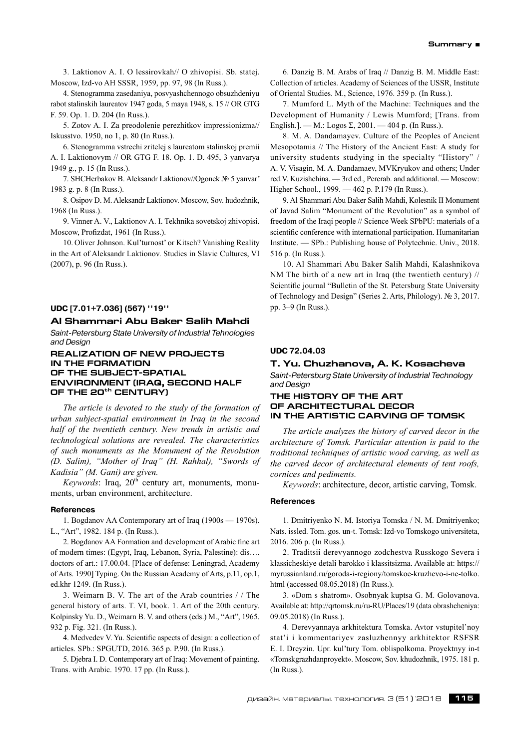3. Laktionov A. I. O lessirovkah// O zhivopisi. Sb. statej. Moscow, Izd-vo AH SSSR, 1959, pp. 97, 98 (In Russ.).

4. Stenogramma zasedaniya, posvyashchennogo obsuzhdeniyu rabot stalinskih laureatov 1947 goda, 5 maya 1948, s. 15 // OR GTG F. 59. Op. 1. D. 204 (In Russ.).

5. Zotov A. I. Za preodolenie perezhitkov impressionizma// Iskusstvo. 1950, no 1, p. 80 (In Russ.).

6. Stenogramma vstrechi zritelej s laureatom stalinskoj premii A. I. Laktionovym // OR GTG F. 18. Op. 1. D. 495, 3 yanvarya 1949 g., p. 15 (In Russ.).

7. SHCHerbakov B. Aleksandr Laktionov//Ogonek № 5 yanvar' 1983 g. p. 8 (In Russ.).

8. Osipov D. M. Aleksandr Laktionov. Moscow, Sov. hudozhnik, 1968 (In Russ.).

9. Vinner A. V., Laktionov A. I. Tekhnika sovetskoj zhivopisi. Moscow, Profizdat, 1961 (In Russ.).

10. Oliver Johnson. Kul'turnost' or Kitsch? Vanishing Reality in the Art of Aleksandr Laktionov. Studies in Slavic Cultures, VI (2007), p. 96 (In Russ.).

# **UDC [7.01+7.036] (567) ''19''**

### **Al Shammari Abu Baker Salih Mahdi**

*Saint-Petersburg State University of Industrial Tehnologies and Design*

### **Realization of new projects in the formation of the subject-spatial environment (Iraq, second half of the 20th century)**

*The article is devoted to the study of the formation of urban subject-spatial environment in Iraq in the second half of the twentieth century. New trends in artistic and technological solutions are revealed. The characteristics of such monuments as the Monument of the Revolution (D. Salim), "Mother of Iraq" (H. Rahhal), "Swords of Kadisia" (M. Gani) are given.*

*Keywords*: Iraq, 20<sup>th</sup> century art, monuments, monuments, urban environment, architecture.

### **References**

1. Bogdanov AA Contemporary art of Iraq (1900s — 1970s). L., "Art", 1982. 184 p. (In Russ.).

2. Bogdanov AA Formation and development of Arabic fine art of modern times: (Egypt, Iraq, Lebanon, Syria, Palestine): dis…. doctors of art.: 17.00.04. [Place of defense: Leningrad, Academy of Arts. 1990] Typing. On the Russian Academy of Arts, p.11, op.1, ed.khr 1249. (In Russ.).

3. Weimarn B. V. The art of the Arab countries / / The general history of arts. T. VI, book. 1. Art of the 20th century. Kolpinsky Yu. D., Weimarn B. V. and others (eds.) M., "Art", 1965. 932 p. Fig. 321. (In Russ.).

4. Medvedev V. Yu. Scientific aspects of design: a collection of articles. SPb.: SPGUTD, 2016. 365 p. P.90. (In Russ.).

5. Djebra I. D. Contemporary art of Iraq: Movement of painting. Trans. with Arabic. 1970. 17 pp. (In Russ.).

6. Danzig B. M. Arabs of Iraq // Danzig B. M. Middle East: Collection of articles. Academy of Sciences of the USSR, Institute of Oriental Studies. M., Science, 1976. 359 p. (In Russ.).

7. Mumford L. Myth of the Machine: Techniques and the Development of Humanity / Lewis Mumford; [Trans. from English.]. — M.: Logos Σ, 2001. — 404 p. (In Russ.).

8. M. A. Dandamayev. Culture of the Peoples of Ancient Mesopotamia // The History of the Ancient East: A study for university students studying in the specialty "History" / A. V. Visagin, M. A. Dandamaev, MVKryukov and others; Under red.V. Kuzishchina. — 3rd ed., Pererab. and additional. — Moscow: Higher School., 1999. — 462 p. P.179 (In Russ.).

9. Al Shammari Abu Baker Salih Mahdi, Kolesnik II Monument of Javad Salim "Monument of the Revolution" as a symbol of freedom of the Iraqi people // Science Week SPbPU: materials of a scientific conference with international participation. Humanitarian Institute. — SPb.: Publishing house of Polytechnic. Univ., 2018. 516 p. (In Russ.).

10. Al Shammari Abu Baker Salih Mahdi, Kalashnikova NM The birth of a new art in Iraq (the twentieth century) // Scientific journal "Bulletin of the St. Petersburg State University of Technology and Design" (Series 2. Arts, Philology). № 3, 2017. pp. 3–9 (In Russ.).

#### **UDC 72.04.03**

#### **T. Yu. Chuzhanova, A. K. Kosacheva**

*Saint-Petersburg State University of Industrial Technology and Design*

### **The history of the art of architectural decor in the artistic carving of Tomsk**

*The article analyzes the history of carved decor in the architecture of Tomsk. Particular attention is paid to the traditional techniques of artistic wood carving, as well as the carved decor of architectural elements of tent roofs, cornices and pediments.*

*Keywords*: architecture, decor, artistic carving, Tomsk.

#### **References**

1. Dmitriyenko N. M. Istoriya Tomska / N. M. Dmitriyenko; Nats. issled. Tom. gos. un-t. Tomsk: Izd-vo Tomskogo universiteta, 2016. 206 p. (In Russ.).

2. Traditsii derevyannogo zodchestva Russkogo Severa i klassicheskiye detali barokko i klassitsizma. Available at: https:// myrussianland.ru/goroda-i-regiony/tomskoe-kruzhevo-i-ne-tolko. html (accessed 08.05.2018) (In Russ.).

3. «Dom s shatrom». Osobnyak kuptsa G. M. Golovanova. Available at: http://qrtomsk.ru/ru-RU/Places/19 (data obrashcheniya: 09.05.2018) (In Russ.).

4. Derevyannaya arkhitektura Tomska. Avtor vstupitel'noy stat'i i kommentariyev zasluzhennyy arkhitektor RSFSR E. I. Dreyzin. Upr. kul'tury Tom. oblispolkoma. Proyektnyy in-t «Tomskgrazhdanproyekt». Moscow, Sov. khudozhnik, 1975. 181 p. (In Russ.).